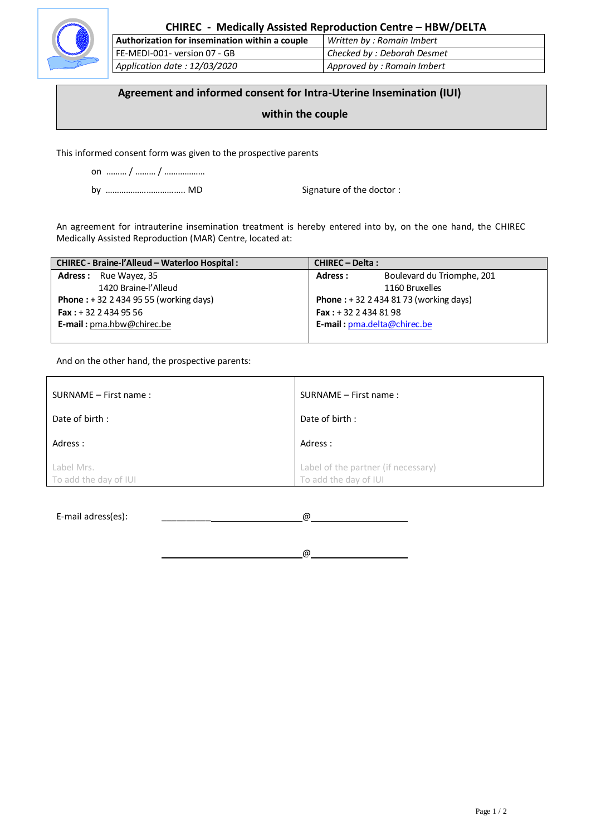

# **CHIREC - Medically Assisted Reproduction Centre – HBW/DELTA**

| Authorization for insemination within a couple | Written by: Romain Imbert   |
|------------------------------------------------|-----------------------------|
| FE-MEDI-001- version 07 - GB                   | Checked by : Deborah Desmet |
| Application date: 12/03/2020                   | Approved by: Romain Imbert  |

### **Agreement and informed consent for Intra-Uterine Insemination (IUI)**

# **within the couple**

This informed consent form was given to the prospective parents

on ……… / ……… / ………………

by …………………………….. MD Signature of the doctor :

An agreement for intrauterine insemination treatment is hereby entered into by, on the one hand, the CHIREC Medically Assisted Reproduction (MAR) Centre, located at:

| CHIREC - Braine-l'Alleud - Waterloo Hospital :  | <b>CHIREC - Delta:</b>        |                                                  |
|-------------------------------------------------|-------------------------------|--------------------------------------------------|
| <b>Adress:</b> Rue Wayez, 35                    | Adress:                       | Boulevard du Triomphe, 201                       |
| 1420 Braine-l'Alleud                            |                               | 1160 Bruxelles                                   |
| <b>Phone</b> : $+32$ 2 434 95 55 (working days) |                               | <b>Phone</b> : $+ 32 2 434 81 73$ (working days) |
| <b>Fax:</b> $+32$ 2 434 95 56                   | <b>Fax:</b> $+32$ 2 434 81 98 |                                                  |
| <b>E-mail:</b> $pma$ .hbw@chirec.be             | E-mail: pma.delta@chirec.be   |                                                  |
|                                                 |                               |                                                  |

And on the other hand, the prospective parents:

| SURNAME - First name:               | SURNAME - First name:                                        |
|-------------------------------------|--------------------------------------------------------------|
| Date of birth:                      | Date of birth:                                               |
| Adress :                            | Adress:                                                      |
| Label Mrs.<br>To add the day of IUI | Label of the partner (if necessary)<br>To add the day of IUI |

E-mail adress(es): \_\_\_\_\_\_\_\_\_\_ @ 

 $@$